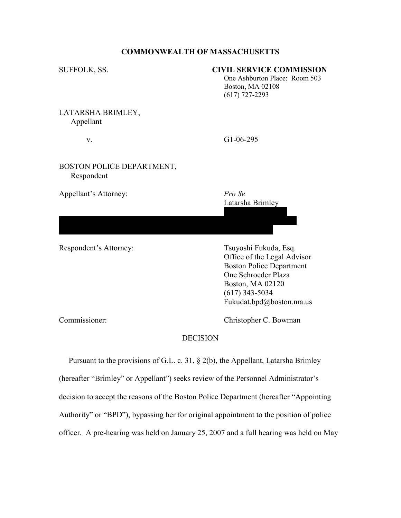# COMMONWEALTH OF MASSACHUSETTS

# SUFFOLK, SS. CIVIL SERVICE COMMISSION

 One Ashburton Place: Room 503 Boston, MA 02108 (617) 727-2293

LATARSHA BRIMLEY, Appellant

v. G1-06-295

Latarsha Brimley

# BOSTON POLICE DEPARTMENT, Respondent

Appellant's Attorney: Pro Se

Respondent's Attorney: Tsuyoshi Fukuda, Esq.

 Office of the Legal Advisor Boston Police Department One Schroeder Plaza Boston, MA 02120 (617) 343-5034 Fukudat.bpd@boston.ma.us

Commissioner: Christopher C. Bowman

# **DECISION**

 38 Mascot Street #3 Dorchester, MA 02124

(617) 297-5007

 Pursuant to the provisions of G.L. c. 31, § 2(b), the Appellant, Latarsha Brimley (hereafter "Brimley" or Appellant") seeks review of the Personnel Administrator's decision to accept the reasons of the Boston Police Department (hereafter "Appointing Authority" or "BPD"), bypassing her for original appointment to the position of police officer. A pre-hearing was held on January 25, 2007 and a full hearing was held on May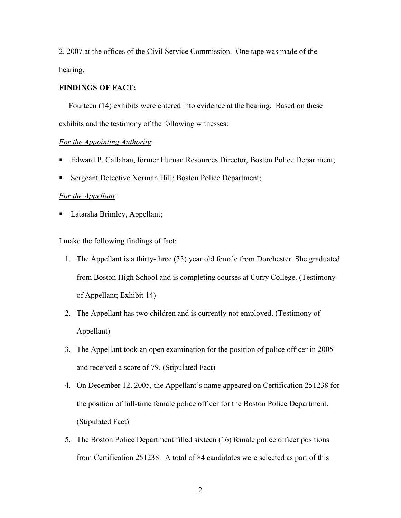2, 2007 at the offices of the Civil Service Commission. One tape was made of the hearing.

# FINDINGS OF FACT:

 Fourteen (14) exhibits were entered into evidence at the hearing. Based on these exhibits and the testimony of the following witnesses:

# For the Appointing Authority:

- Edward P. Callahan, former Human Resources Director, Boston Police Department;
- Sergeant Detective Norman Hill; Boston Police Department;

### For the Appellant:

• Latarsha Brimley, Appellant;

I make the following findings of fact:

- 1. The Appellant is a thirty-three (33) year old female from Dorchester. She graduated from Boston High School and is completing courses at Curry College. (Testimony of Appellant; Exhibit 14)
- 2. The Appellant has two children and is currently not employed. (Testimony of Appellant)
- 3. The Appellant took an open examination for the position of police officer in 2005 and received a score of 79. (Stipulated Fact)
- 4. On December 12, 2005, the Appellant's name appeared on Certification 251238 for the position of full-time female police officer for the Boston Police Department. (Stipulated Fact)
- 5. The Boston Police Department filled sixteen (16) female police officer positions from Certification 251238. A total of 84 candidates were selected as part of this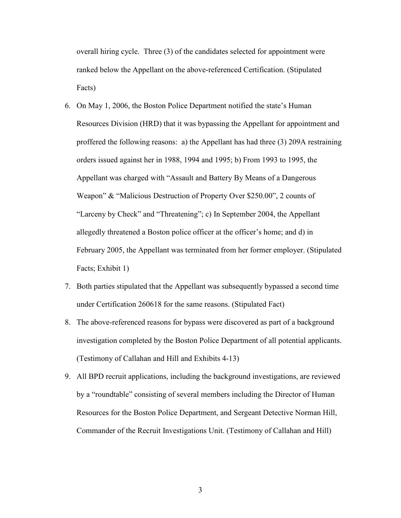overall hiring cycle. Three (3) of the candidates selected for appointment were ranked below the Appellant on the above-referenced Certification. (Stipulated Facts)

- 6. On May 1, 2006, the Boston Police Department notified the state's Human Resources Division (HRD) that it was bypassing the Appellant for appointment and proffered the following reasons: a) the Appellant has had three (3) 209A restraining orders issued against her in 1988, 1994 and 1995; b) From 1993 to 1995, the Appellant was charged with "Assault and Battery By Means of a Dangerous Weapon" & "Malicious Destruction of Property Over \$250.00", 2 counts of "Larceny by Check" and "Threatening"; c) In September 2004, the Appellant allegedly threatened a Boston police officer at the officer's home; and d) in February 2005, the Appellant was terminated from her former employer. (Stipulated Facts; Exhibit 1)
- 7. Both parties stipulated that the Appellant was subsequently bypassed a second time under Certification 260618 for the same reasons. (Stipulated Fact)
- 8. The above-referenced reasons for bypass were discovered as part of a background investigation completed by the Boston Police Department of all potential applicants. (Testimony of Callahan and Hill and Exhibits 4-13)
- 9. All BPD recruit applications, including the background investigations, are reviewed by a "roundtable" consisting of several members including the Director of Human Resources for the Boston Police Department, and Sergeant Detective Norman Hill, Commander of the Recruit Investigations Unit. (Testimony of Callahan and Hill)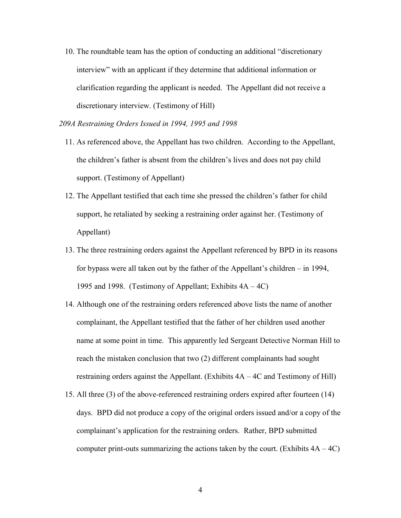10. The roundtable team has the option of conducting an additional "discretionary interview" with an applicant if they determine that additional information or clarification regarding the applicant is needed. The Appellant did not receive a discretionary interview. (Testimony of Hill)

209A Restraining Orders Issued in 1994, 1995 and 1998

- 11. As referenced above, the Appellant has two children. According to the Appellant, the children's father is absent from the children's lives and does not pay child support. (Testimony of Appellant)
- 12. The Appellant testified that each time she pressed the children's father for child support, he retaliated by seeking a restraining order against her. (Testimony of Appellant)
- 13. The three restraining orders against the Appellant referenced by BPD in its reasons for bypass were all taken out by the father of the Appellant's children – in 1994, 1995 and 1998. (Testimony of Appellant; Exhibits 4A – 4C)
- 14. Although one of the restraining orders referenced above lists the name of another complainant, the Appellant testified that the father of her children used another name at some point in time. This apparently led Sergeant Detective Norman Hill to reach the mistaken conclusion that two (2) different complainants had sought restraining orders against the Appellant. (Exhibits 4A – 4C and Testimony of Hill)
- 15. All three (3) of the above-referenced restraining orders expired after fourteen (14) days. BPD did not produce a copy of the original orders issued and/or a copy of the complainant's application for the restraining orders. Rather, BPD submitted computer print-outs summarizing the actions taken by the court. (Exhibits  $4A - 4C$ )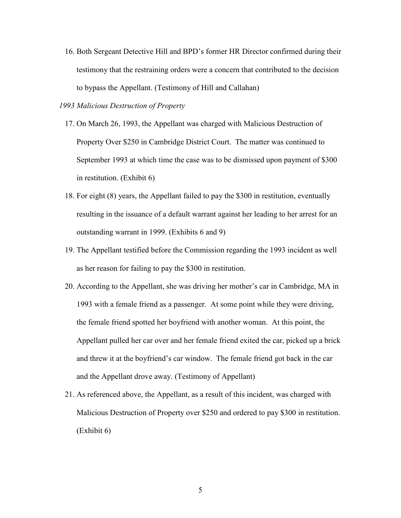16. Both Sergeant Detective Hill and BPD's former HR Director confirmed during their testimony that the restraining orders were a concern that contributed to the decision to bypass the Appellant. (Testimony of Hill and Callahan)

# 1993 Malicious Destruction of Property

- 17. On March 26, 1993, the Appellant was charged with Malicious Destruction of Property Over \$250 in Cambridge District Court. The matter was continued to September 1993 at which time the case was to be dismissed upon payment of \$300 in restitution. (Exhibit 6)
- 18. For eight (8) years, the Appellant failed to pay the \$300 in restitution, eventually resulting in the issuance of a default warrant against her leading to her arrest for an outstanding warrant in 1999. (Exhibits 6 and 9)
- 19. The Appellant testified before the Commission regarding the 1993 incident as well as her reason for failing to pay the \$300 in restitution.
- 20. According to the Appellant, she was driving her mother's car in Cambridge, MA in 1993 with a female friend as a passenger. At some point while they were driving, the female friend spotted her boyfriend with another woman. At this point, the Appellant pulled her car over and her female friend exited the car, picked up a brick and threw it at the boyfriend's car window. The female friend got back in the car and the Appellant drove away. (Testimony of Appellant)
- 21. As referenced above, the Appellant, as a result of this incident, was charged with Malicious Destruction of Property over \$250 and ordered to pay \$300 in restitution. (Exhibit 6)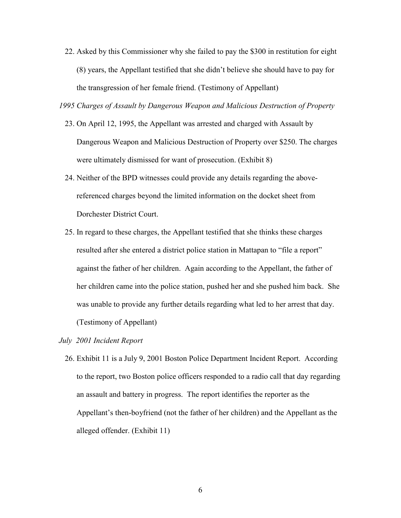22. Asked by this Commissioner why she failed to pay the \$300 in restitution for eight (8) years, the Appellant testified that she didn't believe she should have to pay for the transgression of her female friend. (Testimony of Appellant)

1995 Charges of Assault by Dangerous Weapon and Malicious Destruction of Property

- 23. On April 12, 1995, the Appellant was arrested and charged with Assault by Dangerous Weapon and Malicious Destruction of Property over \$250. The charges were ultimately dismissed for want of prosecution. (Exhibit 8)
- 24. Neither of the BPD witnesses could provide any details regarding the abovereferenced charges beyond the limited information on the docket sheet from Dorchester District Court.
- 25. In regard to these charges, the Appellant testified that she thinks these charges resulted after she entered a district police station in Mattapan to "file a report" against the father of her children. Again according to the Appellant, the father of her children came into the police station, pushed her and she pushed him back. She was unable to provide any further details regarding what led to her arrest that day. (Testimony of Appellant)

July 2001 Incident Report

26. Exhibit 11 is a July 9, 2001 Boston Police Department Incident Report. According to the report, two Boston police officers responded to a radio call that day regarding an assault and battery in progress. The report identifies the reporter as the Appellant's then-boyfriend (not the father of her children) and the Appellant as the alleged offender. (Exhibit 11)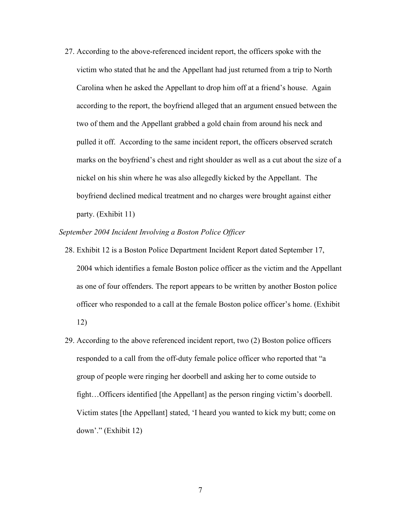27. According to the above-referenced incident report, the officers spoke with the victim who stated that he and the Appellant had just returned from a trip to North Carolina when he asked the Appellant to drop him off at a friend's house. Again according to the report, the boyfriend alleged that an argument ensued between the two of them and the Appellant grabbed a gold chain from around his neck and pulled it off. According to the same incident report, the officers observed scratch marks on the boyfriend's chest and right shoulder as well as a cut about the size of a nickel on his shin where he was also allegedly kicked by the Appellant. The boyfriend declined medical treatment and no charges were brought against either party. (Exhibit 11)

### September 2004 Incident Involving a Boston Police Officer

- 28. Exhibit 12 is a Boston Police Department Incident Report dated September 17, 2004 which identifies a female Boston police officer as the victim and the Appellant as one of four offenders. The report appears to be written by another Boston police officer who responded to a call at the female Boston police officer's home. (Exhibit 12)
- 29. According to the above referenced incident report, two (2) Boston police officers responded to a call from the off-duty female police officer who reported that "a group of people were ringing her doorbell and asking her to come outside to fight…Officers identified [the Appellant] as the person ringing victim's doorbell. Victim states [the Appellant] stated, 'I heard you wanted to kick my butt; come on down'." (Exhibit 12)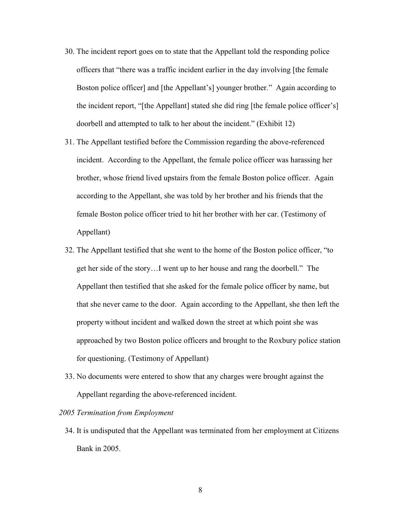- 30. The incident report goes on to state that the Appellant told the responding police officers that "there was a traffic incident earlier in the day involving [the female Boston police officer] and [the Appellant's] younger brother." Again according to the incident report, "[the Appellant] stated she did ring [the female police officer's] doorbell and attempted to talk to her about the incident." (Exhibit 12)
- 31. The Appellant testified before the Commission regarding the above-referenced incident. According to the Appellant, the female police officer was harassing her brother, whose friend lived upstairs from the female Boston police officer. Again according to the Appellant, she was told by her brother and his friends that the female Boston police officer tried to hit her brother with her car. (Testimony of Appellant)
- 32. The Appellant testified that she went to the home of the Boston police officer, "to get her side of the story…I went up to her house and rang the doorbell." The Appellant then testified that she asked for the female police officer by name, but that she never came to the door. Again according to the Appellant, she then left the property without incident and walked down the street at which point she was approached by two Boston police officers and brought to the Roxbury police station for questioning. (Testimony of Appellant)
- 33. No documents were entered to show that any charges were brought against the Appellant regarding the above-referenced incident.

#### 2005 Termination from Employment

34. It is undisputed that the Appellant was terminated from her employment at Citizens Bank in 2005.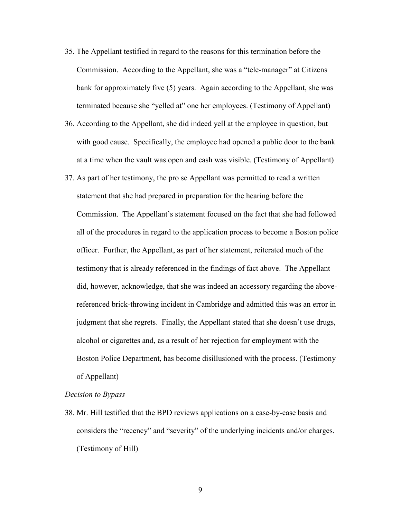- 35. The Appellant testified in regard to the reasons for this termination before the Commission. According to the Appellant, she was a "tele-manager" at Citizens bank for approximately five (5) years. Again according to the Appellant, she was terminated because she "yelled at" one her employees. (Testimony of Appellant)
- 36. According to the Appellant, she did indeed yell at the employee in question, but with good cause. Specifically, the employee had opened a public door to the bank at a time when the vault was open and cash was visible. (Testimony of Appellant)
- 37. As part of her testimony, the pro se Appellant was permitted to read a written statement that she had prepared in preparation for the hearing before the Commission. The Appellant's statement focused on the fact that she had followed all of the procedures in regard to the application process to become a Boston police officer. Further, the Appellant, as part of her statement, reiterated much of the testimony that is already referenced in the findings of fact above. The Appellant did, however, acknowledge, that she was indeed an accessory regarding the abovereferenced brick-throwing incident in Cambridge and admitted this was an error in judgment that she regrets. Finally, the Appellant stated that she doesn't use drugs, alcohol or cigarettes and, as a result of her rejection for employment with the Boston Police Department, has become disillusioned with the process. (Testimony of Appellant)

#### Decision to Bypass

38. Mr. Hill testified that the BPD reviews applications on a case-by-case basis and considers the "recency" and "severity" of the underlying incidents and/or charges. (Testimony of Hill)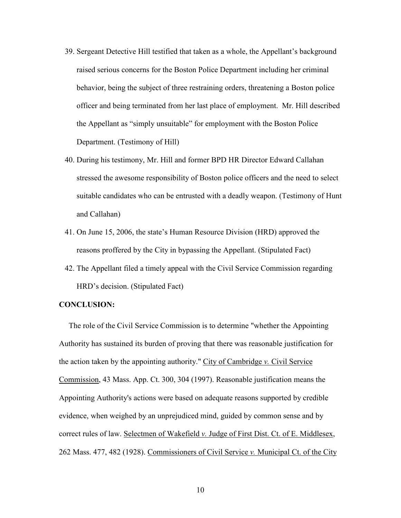- 39. Sergeant Detective Hill testified that taken as a whole, the Appellant's background raised serious concerns for the Boston Police Department including her criminal behavior, being the subject of three restraining orders, threatening a Boston police officer and being terminated from her last place of employment. Mr. Hill described the Appellant as "simply unsuitable" for employment with the Boston Police Department. (Testimony of Hill)
- 40. During his testimony, Mr. Hill and former BPD HR Director Edward Callahan stressed the awesome responsibility of Boston police officers and the need to select suitable candidates who can be entrusted with a deadly weapon. (Testimony of Hunt and Callahan)
- 41. On June 15, 2006, the state's Human Resource Division (HRD) approved the reasons proffered by the City in bypassing the Appellant. (Stipulated Fact)
- 42. The Appellant filed a timely appeal with the Civil Service Commission regarding HRD's decision. (Stipulated Fact)

# CONCLUSION:

 The role of the Civil Service Commission is to determine "whether the Appointing Authority has sustained its burden of proving that there was reasonable justification for the action taken by the appointing authority." City of Cambridge v. Civil Service Commission, 43 Mass. App. Ct. 300, 304 (1997). Reasonable justification means the Appointing Authority's actions were based on adequate reasons supported by credible evidence, when weighed by an unprejudiced mind, guided by common sense and by correct rules of law. Selectmen of Wakefield v. Judge of First Dist. Ct. of E. Middlesex, 262 Mass. 477, 482 (1928). Commissioners of Civil Service v. Municipal Ct. of the City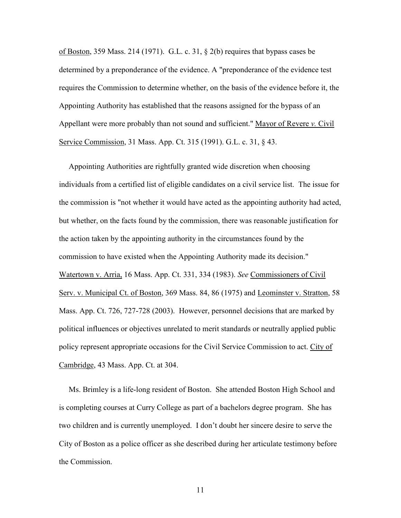of Boston, 359 Mass. 214 (1971). G.L. c. 31, § 2(b) requires that bypass cases be determined by a preponderance of the evidence. A "preponderance of the evidence test requires the Commission to determine whether, on the basis of the evidence before it, the Appointing Authority has established that the reasons assigned for the bypass of an Appellant were more probably than not sound and sufficient." Mayor of Revere v. Civil Service Commission, 31 Mass. App. Ct. 315 (1991). G.L. c. 31, § 43.

 Appointing Authorities are rightfully granted wide discretion when choosing individuals from a certified list of eligible candidates on a civil service list. The issue for the commission is "not whether it would have acted as the appointing authority had acted, but whether, on the facts found by the commission, there was reasonable justification for the action taken by the appointing authority in the circumstances found by the commission to have existed when the Appointing Authority made its decision." Watertown v. Arria, 16 Mass. App. Ct. 331, 334 (1983). See Commissioners of Civil Serv. v. Municipal Ct. of Boston, 369 Mass. 84, 86 (1975) and Leominster v. Stratton, 58 Mass. App. Ct. 726, 727-728 (2003). However, personnel decisions that are marked by political influences or objectives unrelated to merit standards or neutrally applied public policy represent appropriate occasions for the Civil Service Commission to act. City of Cambridge, 43 Mass. App. Ct. at 304.

 Ms. Brimley is a life-long resident of Boston. She attended Boston High School and is completing courses at Curry College as part of a bachelors degree program. She has two children and is currently unemployed. I don't doubt her sincere desire to serve the City of Boston as a police officer as she described during her articulate testimony before the Commission.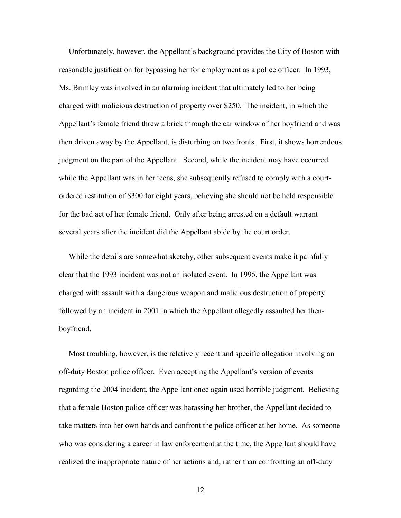Unfortunately, however, the Appellant's background provides the City of Boston with reasonable justification for bypassing her for employment as a police officer. In 1993, Ms. Brimley was involved in an alarming incident that ultimately led to her being charged with malicious destruction of property over \$250. The incident, in which the Appellant's female friend threw a brick through the car window of her boyfriend and was then driven away by the Appellant, is disturbing on two fronts. First, it shows horrendous judgment on the part of the Appellant. Second, while the incident may have occurred while the Appellant was in her teens, she subsequently refused to comply with a courtordered restitution of \$300 for eight years, believing she should not be held responsible for the bad act of her female friend. Only after being arrested on a default warrant several years after the incident did the Appellant abide by the court order.

 While the details are somewhat sketchy, other subsequent events make it painfully clear that the 1993 incident was not an isolated event. In 1995, the Appellant was charged with assault with a dangerous weapon and malicious destruction of property followed by an incident in 2001 in which the Appellant allegedly assaulted her thenboyfriend.

 Most troubling, however, is the relatively recent and specific allegation involving an off-duty Boston police officer. Even accepting the Appellant's version of events regarding the 2004 incident, the Appellant once again used horrible judgment. Believing that a female Boston police officer was harassing her brother, the Appellant decided to take matters into her own hands and confront the police officer at her home. As someone who was considering a career in law enforcement at the time, the Appellant should have realized the inappropriate nature of her actions and, rather than confronting an off-duty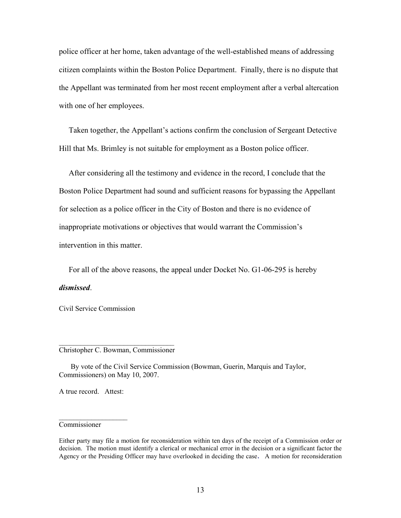police officer at her home, taken advantage of the well-established means of addressing citizen complaints within the Boston Police Department. Finally, there is no dispute that the Appellant was terminated from her most recent employment after a verbal altercation with one of her employees.

 Taken together, the Appellant's actions confirm the conclusion of Sergeant Detective Hill that Ms. Brimley is not suitable for employment as a Boston police officer.

 After considering all the testimony and evidence in the record, I conclude that the Boston Police Department had sound and sufficient reasons for bypassing the Appellant for selection as a police officer in the City of Boston and there is no evidence of inappropriate motivations or objectives that would warrant the Commission's intervention in this matter.

 For all of the above reasons, the appeal under Docket No. G1-06-295 is hereby dismissed.

Civil Service Commission

#### \_\_\_\_\_\_\_\_\_\_\_\_\_\_\_\_\_\_\_\_\_\_\_\_\_\_\_\_\_\_\_\_ Christopher C. Bowman, Commissioner

 By vote of the Civil Service Commission (Bowman, Guerin, Marquis and Taylor, Commissioners) on May 10, 2007.

A true record. Attest:

 $\mathcal{L}=\mathcal{L}^{\text{max}}$ 

# Commissioner

Either party may file a motion for reconsideration within ten days of the receipt of a Commission order or decision. The motion must identify a clerical or mechanical error in the decision or a significant factor the Agency or the Presiding Officer may have overlooked in deciding the case. A motion for reconsideration